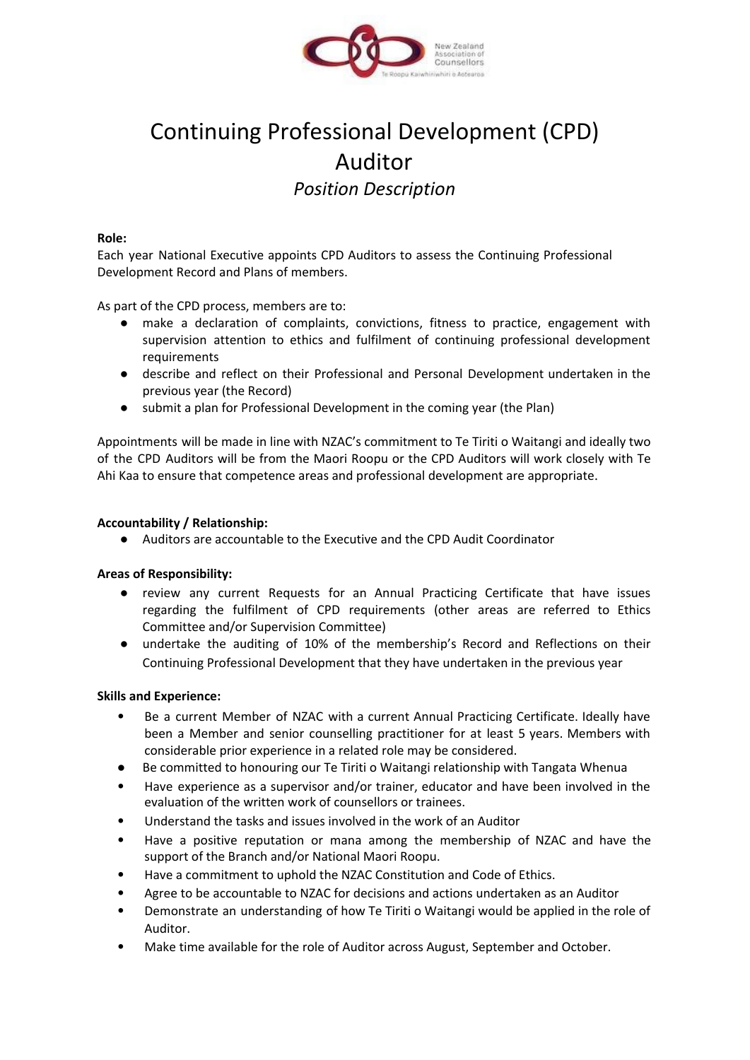

# Continuing Professional Development (CPD) Auditor *Position Description*

#### **Role:**

Each year National Executive appoints CPD Auditors to assess the Continuing Professional Development Record and Plans of members.

As part of the CPD process, members are to:

- make a declaration of complaints, convictions, fitness to practice, engagement with supervision attention to ethics and fulfilment of continuing professional development requirements
- describe and reflect on their Professional and Personal Development undertaken in the previous year (the Record)
- submit a plan for Professional Development in the coming year (the Plan)

Appointments will be made in line with NZAC's commitment to Te Tiriti o Waitangi and ideally two of the CPD Auditors will be from the Maori Roopu or the CPD Auditors will work closely with Te Ahi Kaa to ensure that competence areas and professional development are appropriate.

## **Accountability / Relationship:**

● Auditors are accountable to the Executive and the CPD Audit Coordinator

## **Areas of Responsibility:**

- review any current Requests for an Annual Practicing Certificate that have issues regarding the fulfilment of CPD requirements (other areas are referred to Ethics Committee and/or Supervision Committee)
- undertake the auditing of 10% of the membership's Record and Reflections on their Continuing Professional Development that they have undertaken in the previous year

## **Skills and Experience:**

- Be a current Member of NZAC with a current Annual Practicing Certificate. Ideally have been a Member and senior counselling practitioner for at least 5 years. Members with considerable prior experience in a related role may be considered.
- Be committed to honouring our Te Tiriti o Waitangi relationship with Tangata Whenua
- Have experience as a supervisor and/or trainer, educator and have been involved in the evaluation of the written work of counsellors or trainees.
- Understand the tasks and issues involved in the work of an Auditor
- Have a positive reputation or mana among the membership of NZAC and have the support of the Branch and/or National Maori Roopu.
- Have a commitment to uphold the NZAC Constitution and Code of Ethics.
- Agree to be accountable to NZAC for decisions and actions undertaken as an Auditor
- Demonstrate an understanding of how Te Tiriti o Waitangi would be applied in the role of Auditor.
- Make time available for the role of Auditor across August, September and October.